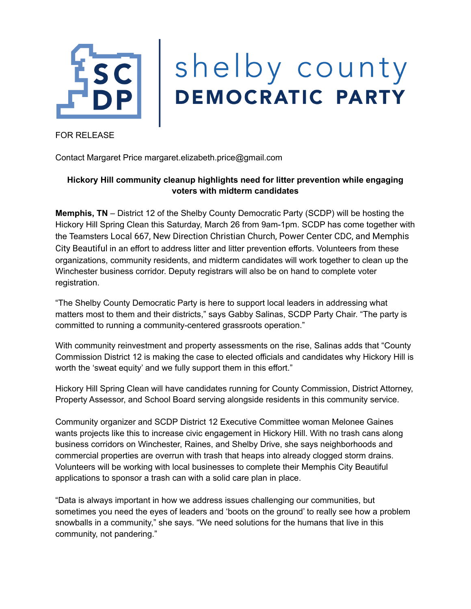

FOR RELEASE

Contact Margaret Price margaret.elizabeth.price@gmail.com

## **Hickory Hill community cleanup highlights need for litter prevention while engaging voters with midterm candidates**

**Memphis, TN** – District 12 of the Shelby County Democratic Party (SCDP) will be hosting the Hickory Hill Spring Clean this Saturday, March 26 from 9am-1pm. SCDP has come together with the Teamsters Local 667, New Direction Christian Church, Power Center CDC, and Memphis City Beautiful in an effort to address litter and litter prevention efforts. Volunteers from these organizations, community residents, and midterm candidates will work together to clean up the Winchester business corridor. Deputy registrars will also be on hand to complete voter registration.

"The Shelby County Democratic Party is here to support local leaders in addressing what matters most to them and their districts," says Gabby Salinas, SCDP Party Chair. "The party is committed to running a community-centered grassroots operation."

With community reinvestment and property assessments on the rise, Salinas adds that "County Commission District 12 is making the case to elected officials and candidates why Hickory Hill is worth the 'sweat equity' and we fully support them in this effort."

Hickory Hill Spring Clean will have candidates running for County Commission, District Attorney, Property Assessor, and School Board serving alongside residents in this community service.

Community organizer and SCDP District 12 Executive Committee woman Melonee Gaines wants projects like this to increase civic engagement in Hickory Hill. With no trash cans along business corridors on Winchester, Raines, and Shelby Drive, she says neighborhoods and commercial properties are overrun with trash that heaps into already clogged storm drains. Volunteers will be working with local businesses to complete their Memphis City Beautiful applications to sponsor a trash can with a solid care plan in place.

"Data is always important in how we address issues challenging our communities, but sometimes you need the eyes of leaders and 'boots on the ground' to really see how a problem snowballs in a community," she says. "We need solutions for the humans that live in this community, not pandering."